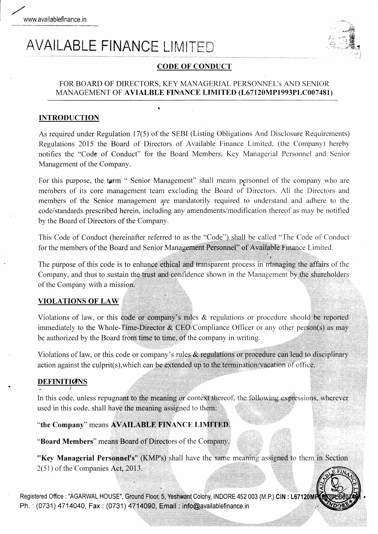# **AVAILABLE FINANCE LIMITED**



# **CODE OF CONDUCT**

## FOR BOARD OF DIRECTORS, KEY MANAGERIAL PERSONNEL's AND SENIOR MANAGEMENT OF AVIALBLE FINANCE LIMITED (L67120MP1993PLC007481)

# **INTRODUCTION**

As required under Regulation 17(5) of the SEBI (Listing Obligations And Disclosure Requirements) Regulations 2015 the Board of Directors of Available Finance Limited, (the Company) hereby notifies the "Code of Conduct" for the Board Members, Key Managerial Personnel and Senior Management of the Company.

For this purpose, the term " Senior Management" shall means personnel of the company who are members of its core management team excluding the Board of Directors. All the Directors and members of the Senior management are mandatorily required to understand and adhere to the code/standards prescribed herein, including any amendments/modification thereof as may be notified by the Board of Directors of the Company.

This Code of Conduct (hereinafter referred to as the "Code") shall be called "The Code of Conduct for the members of the Board and Senior Management Personnel" of Available Finance Limited.

The purpose of this code is to enhance ethical and transparent process in managing the affairs of the Company, and thus to sustain the trust and confidence shown in the Management by the shareholders of the Company with a mission.

### **VIOLATIONS OF LAW**

Violations of law, or this code or company's rules  $\&$  regulations or procedure should be reported immediately to the Whole-Time-Director  $\&$  CEO/Compliance Officer or any other person(s) as may be authorized by the Board from time to time, of the company in writing.

Violations of law, or this code or company's rules & regulations or procedure can lead to disciplinary action against the culprit(s), which can be extended up to the termination/vacation of office.

### **DEFINITIONS**

In this code, unless repugnant to the meaning or context thereof, the following expressions, wherever used in this code, shall have the meaning assigned to them:

"the Company" means AVAILABLE FINANCE LIMITED.

"Board Members" means Board of Directors of the Company.

"Key Managerial Personnel's" (KMP's) shall have the same meaning assigned to them in Section  $2(51)$  of the Companies Act, 2013.

Registered Office : "AGARWAL HOUSE", Ground Floor, 5, Yeshwant Colony, INDORE 452 003 (M.P.) CIN : L67120M Ph.: (0731) 4714040, Fax: (0731) 4714090, Email: info@availablefinance.in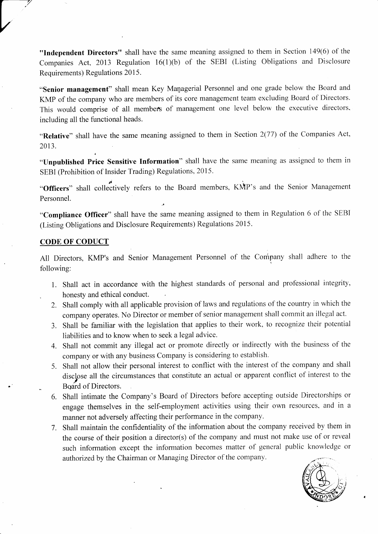"Independent Directors" shall have the same meaning assigned to them in Section 149(6) of the Companies Act, 2013 Regulation  $16(1)(b)$  of the SEBI (Listing Obligations and Disclosure Requirements) Regulations 2015.

"Senior management" shall mean Key Managerial Personnel and one grade below the Board and KMP of the company who are members of its core management team excluding Board of Directors. This would comprise of all. members of management one level below the executive directors. including all the functional heads.

"Relative" shall have the same meaning assigned to them in Section 2(77) of the companies Act, 2013.

"Unpublished Price Sensitive Information" shall have the same meaning as assigned to them in SEBI (Prohibition of Insider Trading) Regulations, 2015.

"Officers" shall collectively refers to the Board members, KMP's and the Senior Management Personnel.

"Compliance Officer" shall have the same meaning assigned to them in Regulation 6 of the SEBI (Listing Obligations and Disclosue Requirements) Regulations 2015.

# CODE OF CODUCT

**1999** 

All Directors, KMP's and Senior Management Personnel of the Company shall adhere to the following:

- 1. Shall act in accordance with the highest standards of personal and professional integrity, . honesty and ethical conduct.
- 2. Shall comply with all applicable provision of laws and regulations of the country in which the company operates. No Director or member of senior management shall commit an illegal act.
- 3. Shall be familiar with the legislation that applies to their work, to recognize their potential liabitities and to know when to seek a legal advice.
- Shall not commit any illegal act or promote directly or indirectly with the business of the 4. company or with any business Company is considering to establish.
- 5. Shall not allow their personal interest to conflict with the interest of the company and shall disclose all the circumstances that constitute an actual or apparent conflict of interest to the Board of Directors.
- 6. Shall intimate the Company's Board of Directors before accepting outside Directorships or engage themselves in the self-employment activities using their own resources. and in <sup>a</sup> manner not adversely affecting their performance in the company.
- <sup>7</sup>. Shall maintain the confidentiality of the information about the company received by them in the course of their position a director(s) of the company and must not make use of or reveal such information except the information becomes matter of general public knowledge or authorized by the Chairman or Managing Director of the company.

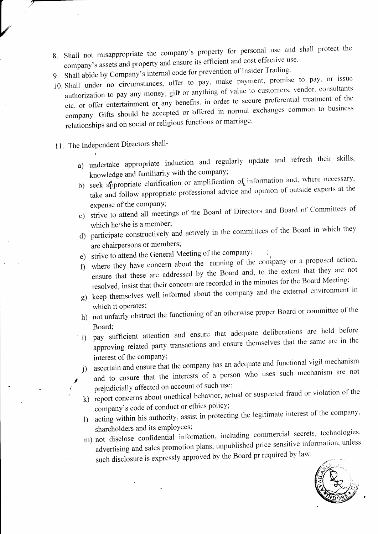- 8. Shall not misappropriate the company's property for personal use and shall protect the company's assets and property and ensure its efficient and cost effective use.
- 9. Shall abide by Company's internal code for prevention of Insider Trading.
- 10. Shall under no circumstances, offer to pay, make payment, promise to pay, or issue authorization to pay any money, gift or anything of value to customers, vendor, consultants etc. or offer entertainment or any benefits, in order to secure preferential treatment of the company. Gifts should be accepted or offered in normal exchanges common to business relationships and on social or religious functions or marriage.
- 11. The Independent Directors shall-

i

- a) undertake appropriate induction and regularly update and refresh their skills, knowledge and familiarity with the company;
- b) seek appropriate clarification or amplification of information and, where necessary, take and follow appropriate professional advice and opinion of outside experts at the expense of the company;
- c) strive to attend all meetings of the Board of Directors and Board of- committees of which he/she is a member;
- d) participate constructively and actively in the committees of the Board in which they are chairpersons or members;
- e) strive to attend the General Meeting of the company;
- $f$ ) where they have concern about the running of the company or a proposed action, ensure that these are addressed by the Board and, to the extent that they are not resolved, insist that their concern are recorded in the minutes for the Board Meeting;
- g) keep themselves well informed about the company and the external environment in
- which it operates;<br>h) not unfairly obstruct the functioning of an otherwise proper Board or committee of the
- Board; i) pay sufficient attention and ensure that adequate deliberations are held before approving related party transactions and ensure themselves that the same are in the interest of the company;
- j) ascertain and ensure that the company has an adequate and functional vigil mechanism
	- and to ensure that the interests of a person who uses such mechanism are not prejudicially affected on account of such use;
- k) report concerns about unethical behavior, actual or suspected fraud or violation of the company's code of conduct or ethics policy;
- 1) acting within his authority, assist in protecting the legitimate interest of the company' shareholders and its employees;
- m) not disclose confidential information, including advertising and sales promotion plans, unpublished price sensitive information, unless such disclosure is expressly approved by the Board pr required by law. commercial secrets, technologies